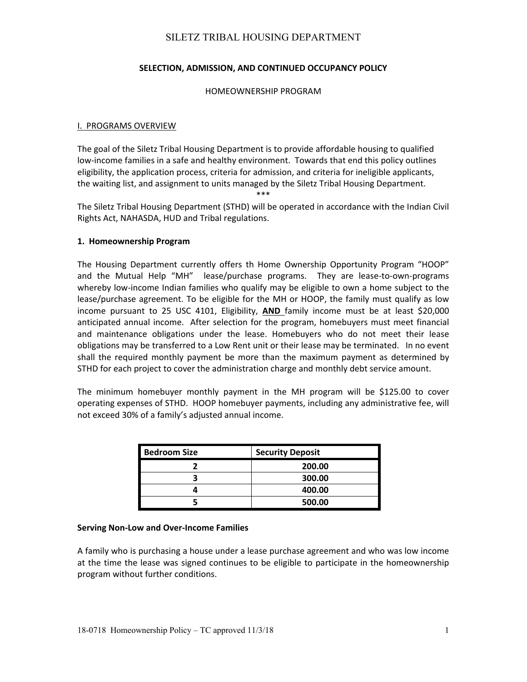## **SELECTION, ADMISSION, AND CONTINUED OCCUPANCY POLICY**

#### HOMEOWNERSHIP PROGRAM

#### I. PROGRAMS OVERVIEW

The goal of the Siletz Tribal Housing Department is to provide affordable housing to qualified low-income families in a safe and healthy environment. Towards that end this policy outlines eligibility, the application process, criteria for admission, and criteria for ineligible applicants, the waiting list, and assignment to units managed by the Siletz Tribal Housing Department.

\*\*\*

The Siletz Tribal Housing Department (STHD) will be operated in accordance with the Indian Civil Rights Act, NAHASDA, HUD and Tribal regulations.

#### **1. Homeownership Program**

The Housing Department currently offers th Home Ownership Opportunity Program "HOOP" and the Mutual Help "MH" lease/purchase programs. They are lease-to-own-programs whereby low-income Indian families who qualify may be eligible to own a home subject to the lease/purchase agreement. To be eligible for the MH or HOOP, the family must qualify as low income pursuant to 25 USC 4101, Eligibility, **AND**  family income must be at least \$20,000 anticipated annual income. After selection for the program, homebuyers must meet financial and maintenance obligations under the lease. Homebuyers who do not meet their lease obligations may be transferred to a Low Rent unit or their lease may be terminated. In no event shall the required monthly payment be more than the maximum payment as determined by STHD for each project to cover the administration charge and monthly debt service amount.

The minimum homebuyer monthly payment in the MH program will be \$125.00 to cover operating expenses of STHD. HOOP homebuyer payments, including any administrative fee, will not exceed 30% of a family's adjusted annual income.

| <b>Bedroom Size</b> | <b>Security Deposit</b> |
|---------------------|-------------------------|
|                     | 200.00                  |
|                     | 300.00                  |
|                     | 400.00                  |
|                     | 500.00                  |

#### **Serving Non‐Low and Over‐Income Families**

A family who is purchasing a house under a lease purchase agreement and who was low income at the time the lease was signed continues to be eligible to participate in the homeownership program without further conditions.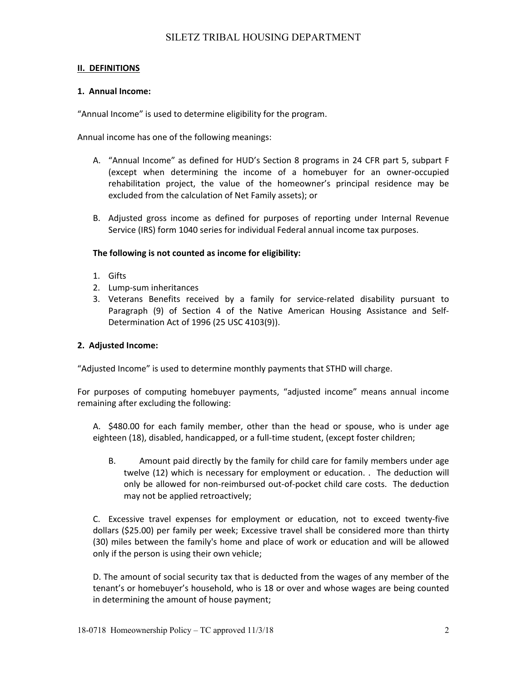### **II. DEFINITIONS**

### **1. Annual Income:**

"Annual Income" is used to determine eligibility for the program.

Annual income has one of the following meanings:

- A. "Annual Income" as defined for HUD's Section 8 programs in 24 CFR part 5, subpart F (except when determining the income of a homebuyer for an owner‐occupied rehabilitation project, the value of the homeowner's principal residence may be excluded from the calculation of Net Family assets); or
- B. Adjusted gross income as defined for purposes of reporting under Internal Revenue Service (IRS) form 1040 series for individual Federal annual income tax purposes.

### **The following is not counted as income for eligibility:**

- 1. Gifts
- 2. Lump‐sum inheritances
- 3. Veterans Benefits received by a family for service‐related disability pursuant to Paragraph (9) of Section 4 of the Native American Housing Assistance and Self‐ Determination Act of 1996 (25 USC 4103(9)).

### **2. Adjusted Income:**

"Adjusted Income" is used to determine monthly payments that STHD will charge.

For purposes of computing homebuyer payments, "adjusted income" means annual income remaining after excluding the following:

A. \$480.00 for each family member, other than the head or spouse, who is under age eighteen (18), disabled, handicapped, or a full‐time student, (except foster children;

B. Amount paid directly by the family for child care for family members under age twelve (12) which is necessary for employment or education. . The deduction will only be allowed for non‐reimbursed out‐of‐pocket child care costs. The deduction may not be applied retroactively;

C. Excessive travel expenses for employment or education, not to exceed twenty‐five dollars (\$25.00) per family per week; Excessive travel shall be considered more than thirty (30) miles between the family's home and place of work or education and will be allowed only if the person is using their own vehicle;

D. The amount of social security tax that is deducted from the wages of any member of the tenant's or homebuyer's household, who is 18 or over and whose wages are being counted in determining the amount of house payment;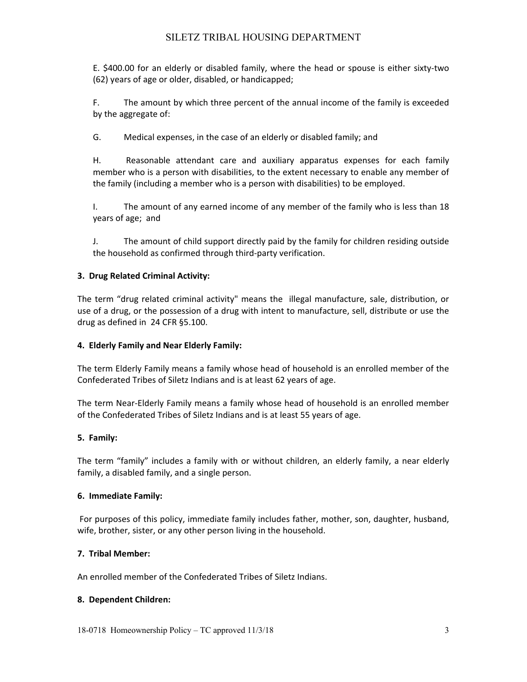E. \$400.00 for an elderly or disabled family, where the head or spouse is either sixty-two (62) years of age or older, disabled, or handicapped;

F. The amount by which three percent of the annual income of the family is exceeded by the aggregate of:

G. Medical expenses, in the case of an elderly or disabled family; and

H. Reasonable attendant care and auxiliary apparatus expenses for each family member who is a person with disabilities, to the extent necessary to enable any member of the family (including a member who is a person with disabilities) to be employed.

I. The amount of any earned income of any member of the family who is less than 18 years of age; and

J. The amount of child support directly paid by the family for children residing outside the household as confirmed through third‐party verification.

## **3. Drug Related Criminal Activity:**

The term "drug related criminal activity" means the illegal manufacture, sale, distribution, or use of a drug, or the possession of a drug with intent to manufacture, sell, distribute or use the drug as defined in 24 CFR §5.100.

## **4. Elderly Family and Near Elderly Family:**

The term Elderly Family means a family whose head of household is an enrolled member of the Confederated Tribes of Siletz Indians and is at least 62 years of age.

The term Near‐Elderly Family means a family whose head of household is an enrolled member of the Confederated Tribes of Siletz Indians and is at least 55 years of age.

## **5. Family:**

The term "family" includes a family with or without children, an elderly family, a near elderly family, a disabled family, and a single person.

## **6. Immediate Family:**

For purposes of this policy, immediate family includes father, mother, son, daughter, husband, wife, brother, sister, or any other person living in the household.

## **7. Tribal Member:**

An enrolled member of the Confederated Tribes of Siletz Indians.

## **8. Dependent Children:**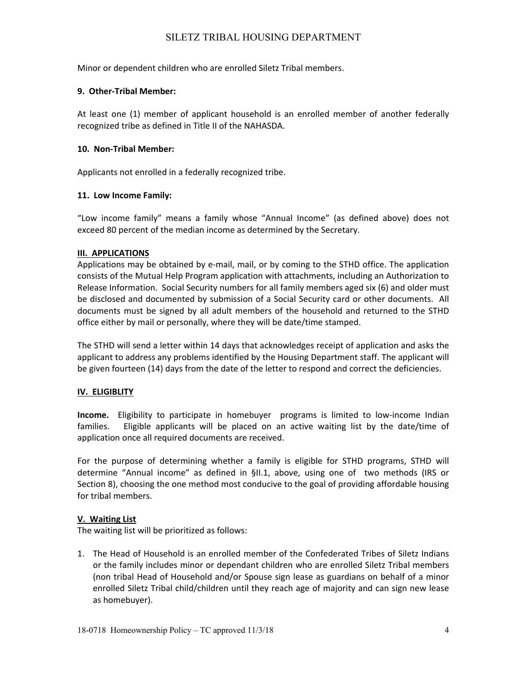Minor or dependent children who are enrolled Siletz Tribal members.

### **9. Other‐Tribal Member:**

At least one (1) member of applicant household is an enrolled member of another federally recognized tribe as defined in Title II of the NAHASDA.

### **10. Non‐Tribal Member:**

Applicants not enrolled in a federally recognized tribe.

### **11. Low Income Family:**

"Low income family" means a family whose "Annual Income" (as defined above) does not exceed 80 percent of the median income as determined by the Secretary.

### **III. APPLICATIONS**

Applications may be obtained by e‐mail, mail, or by coming to the STHD office. The application consists of the Mutual Help Program application with attachments, including an Authorization to Release Information. Social Security numbers for all family members aged six (6) and older must be disclosed and documented by submission of a Social Security card or other documents. All documents must be signed by all adult members of the household and returned to the STHD office either by mail or personally, where they will be date/time stamped.

The STHD will send a letter within 14 days that acknowledges receipt of application and asks the applicant to address any problems identified by the Housing Department staff. The applicant will be given fourteen (14) days from the date of the letter to respond and correct the deficiencies.

## **IV. ELIGIBLITY**

**Income.** Eligibility to participate in homebuyer programs is limited to low-income Indian families. Eligible applicants will be placed on an active waiting list by the date/time of application once all required documents are received.

For the purpose of determining whether a family is eligible for STHD programs, STHD will determine "Annual income" as defined in §II.1, above, using one of two methods (IRS or Section 8), choosing the one method most conducive to the goal of providing affordable housing for tribal members.

## **V. Waiting List**

The waiting list will be prioritized as follows:

1. The Head of Household is an enrolled member of the Confederated Tribes of Siletz Indians or the family includes minor or dependant children who are enrolled Siletz Tribal members (non tribal Head of Household and/or Spouse sign lease as guardians on behalf of a minor enrolled Siletz Tribal child/children until they reach age of majority and can sign new lease as homebuyer).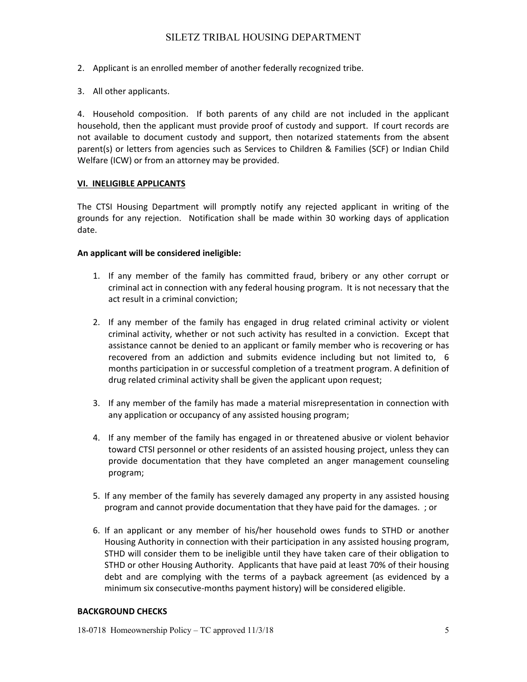- 2. Applicant is an enrolled member of another federally recognized tribe.
- 3. All other applicants.

4. Household composition. If both parents of any child are not included in the applicant household, then the applicant must provide proof of custody and support. If court records are not available to document custody and support, then notarized statements from the absent parent(s) or letters from agencies such as Services to Children & Families (SCF) or Indian Child Welfare (ICW) or from an attorney may be provided.

## **VI. INELIGIBLE APPLICANTS**

The CTSI Housing Department will promptly notify any rejected applicant in writing of the grounds for any rejection. Notification shall be made within 30 working days of application date.

### **An applicant will be considered ineligible:**

- 1. If any member of the family has committed fraud, bribery or any other corrupt or criminal act in connection with any federal housing program. It is not necessary that the act result in a criminal conviction;
- 2. If any member of the family has engaged in drug related criminal activity or violent criminal activity, whether or not such activity has resulted in a conviction. Except that assistance cannot be denied to an applicant or family member who is recovering or has recovered from an addiction and submits evidence including but not limited to, 6 months participation in or successful completion of a treatment program. A definition of drug related criminal activity shall be given the applicant upon request;
- 3. If any member of the family has made a material misrepresentation in connection with any application or occupancy of any assisted housing program;
- 4. If any member of the family has engaged in or threatened abusive or violent behavior toward CTSI personnel or other residents of an assisted housing project, unless they can provide documentation that they have completed an anger management counseling program;
- 5. If any member of the family has severely damaged any property in any assisted housing program and cannot provide documentation that they have paid for the damages. ; or
- 6. If an applicant or any member of his/her household owes funds to STHD or another Housing Authority in connection with their participation in any assisted housing program, STHD will consider them to be ineligible until they have taken care of their obligation to STHD or other Housing Authority. Applicants that have paid at least 70% of their housing debt and are complying with the terms of a payback agreement (as evidenced by a minimum six consecutive-months payment history) will be considered eligible.

#### **BACKGROUND CHECKS**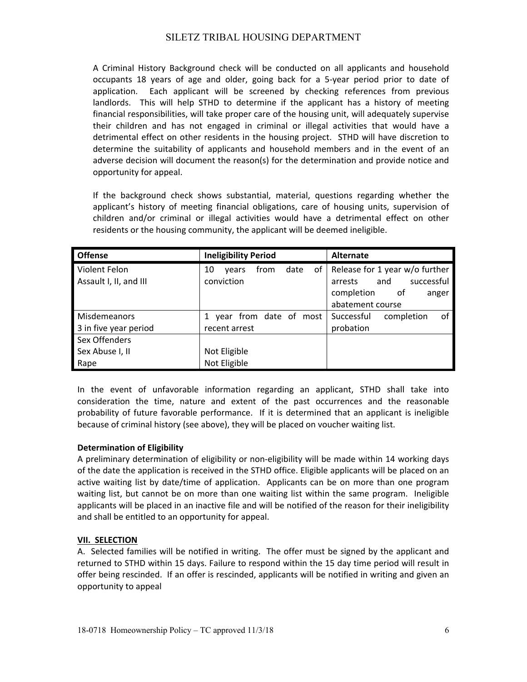A Criminal History Background check will be conducted on all applicants and household occupants 18 years of age and older, going back for a 5‐year period prior to date of application. Each applicant will be screened by checking references from previous landlords. This will help STHD to determine if the applicant has a history of meeting financial responsibilities, will take proper care of the housing unit, will adequately supervise their children and has not engaged in criminal or illegal activities that would have a detrimental effect on other residents in the housing project. STHD will have discretion to determine the suitability of applicants and household members and in the event of an adverse decision will document the reason(s) for the determination and provide notice and opportunity for appeal.

If the background check shows substantial, material, questions regarding whether the applicant's history of meeting financial obligations, care of housing units, supervision of children and/or criminal or illegal activities would have a detrimental effect on other residents or the housing community, the applicant will be deemed ineligible.

| <b>Offense</b>         | <b>Ineligibility Period</b>       | <b>Alternate</b>               |
|------------------------|-----------------------------------|--------------------------------|
| Violent Felon          | from<br>0f<br>date<br>10<br>vears | Release for 1 year w/o further |
| Assault I, II, and III | conviction                        | successful<br>and<br>arrests   |
|                        |                                   | completion<br>0f<br>anger      |
|                        |                                   | abatement course               |
| Misdemeanors           | year from date of most            | Successful<br>completion<br>оf |
| 3 in five year period  | recent arrest                     | probation                      |
| Sex Offenders          |                                   |                                |
| Sex Abuse I, II        | Not Eligible                      |                                |
| Rape                   | Not Eligible                      |                                |

In the event of unfavorable information regarding an applicant, STHD shall take into consideration the time, nature and extent of the past occurrences and the reasonable probability of future favorable performance. If it is determined that an applicant is ineligible because of criminal history (see above), they will be placed on voucher waiting list.

## **Determination of Eligibility**

A preliminary determination of eligibility or non‐eligibility will be made within 14 working days of the date the application is received in the STHD office. Eligible applicants will be placed on an active waiting list by date/time of application. Applicants can be on more than one program waiting list, but cannot be on more than one waiting list within the same program. Ineligible applicants will be placed in an inactive file and will be notified of the reason for their ineligibility and shall be entitled to an opportunity for appeal.

## **VII. SELECTION**

A. Selected families will be notified in writing. The offer must be signed by the applicant and returned to STHD within 15 days. Failure to respond within the 15 day time period will result in offer being rescinded. If an offer is rescinded, applicants will be notified in writing and given an opportunity to appeal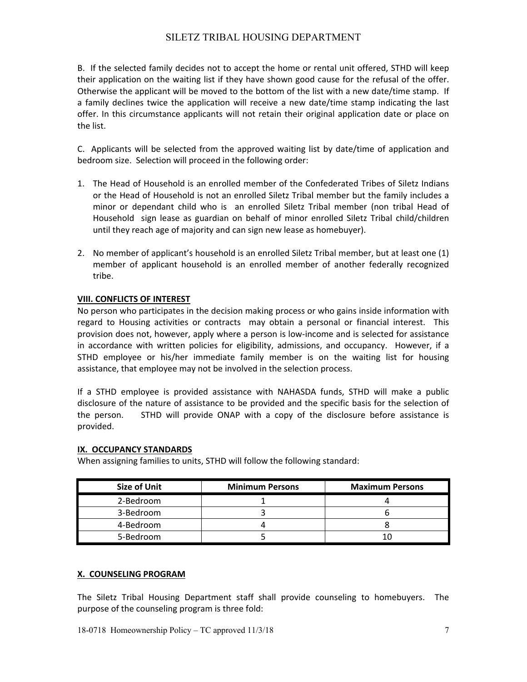B. If the selected family decides not to accept the home or rental unit offered, STHD will keep their application on the waiting list if they have shown good cause for the refusal of the offer. Otherwise the applicant will be moved to the bottom of the list with a new date/time stamp. If a family declines twice the application will receive a new date/time stamp indicating the last offer. In this circumstance applicants will not retain their original application date or place on the list.

C. Applicants will be selected from the approved waiting list by date/time of application and bedroom size. Selection will proceed in the following order:

- 1. The Head of Household is an enrolled member of the Confederated Tribes of Siletz Indians or the Head of Household is not an enrolled Siletz Tribal member but the family includes a minor or dependant child who is an enrolled Siletz Tribal member (non tribal Head of Household sign lease as guardian on behalf of minor enrolled Siletz Tribal child/children until they reach age of majority and can sign new lease as homebuyer).
- 2. No member of applicant's household is an enrolled Siletz Tribal member, but at least one (1) member of applicant household is an enrolled member of another federally recognized tribe.

## **VIII. CONFLICTS OF INTEREST**

No person who participates in the decision making process or who gains inside information with regard to Housing activities or contracts may obtain a personal or financial interest. This provision does not, however, apply where a person is low‐income and is selected for assistance in accordance with written policies for eligibility, admissions, and occupancy. However, if a STHD employee or his/her immediate family member is on the waiting list for housing assistance, that employee may not be involved in the selection process.

If a STHD employee is provided assistance with NAHASDA funds, STHD will make a public disclosure of the nature of assistance to be provided and the specific basis for the selection of the person. STHD will provide ONAP with a copy of the disclosure before assistance is provided.

## **IX. OCCUPANCY STANDARDS**

When assigning families to units, STHD will follow the following standard:

| <b>Size of Unit</b> | <b>Minimum Persons</b> | <b>Maximum Persons</b> |
|---------------------|------------------------|------------------------|
| 2-Bedroom           |                        |                        |
| 3-Bedroom           |                        |                        |
| 4-Bedroom           |                        |                        |
| 5-Bedroom           |                        |                        |

## **X. COUNSELING PROGRAM**

The Siletz Tribal Housing Department staff shall provide counseling to homebuyers. The purpose of the counseling program is three fold: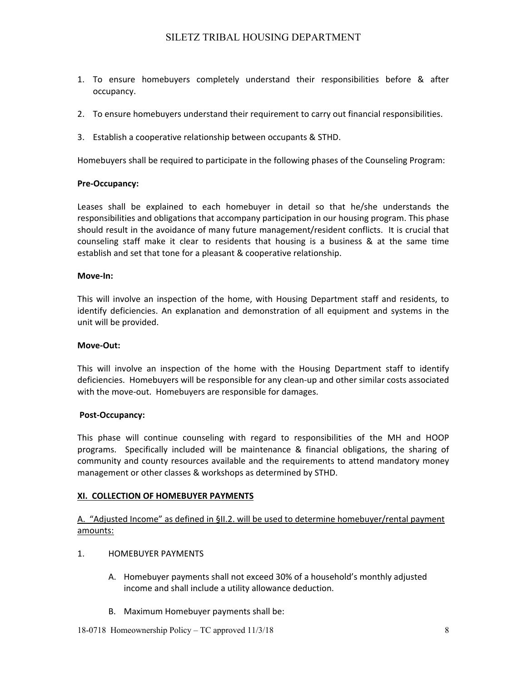- 1. To ensure homebuyers completely understand their responsibilities before & after occupancy.
- 2. To ensure homebuyers understand their requirement to carry out financial responsibilities.
- 3. Establish a cooperative relationship between occupants & STHD.

Homebuyers shall be required to participate in the following phases of the Counseling Program:

### **Pre‐Occupancy:**

Leases shall be explained to each homebuyer in detail so that he/she understands the responsibilities and obligations that accompany participation in our housing program. This phase should result in the avoidance of many future management/resident conflicts. It is crucial that counseling staff make it clear to residents that housing is a business & at the same time establish and set that tone for a pleasant & cooperative relationship.

### **Move‐In:**

This will involve an inspection of the home, with Housing Department staff and residents, to identify deficiencies. An explanation and demonstration of all equipment and systems in the unit will be provided.

#### **Move‐Out:**

This will involve an inspection of the home with the Housing Department staff to identify deficiencies. Homebuyers will be responsible for any clean‐up and other similar costs associated with the move-out. Homebuyers are responsible for damages.

#### **Post‐Occupancy:**

This phase will continue counseling with regard to responsibilities of the MH and HOOP programs. Specifically included will be maintenance & financial obligations, the sharing of community and county resources available and the requirements to attend mandatory money management or other classes & workshops as determined by STHD.

## **XI. COLLECTION OF HOMEBUYER PAYMENTS**

## A. "Adjusted Income" as defined in §II.2. will be used to determine homebuyer/rental payment amounts:

## 1. HOMEBUYER PAYMENTS

- A. Homebuyer payments shall not exceed 30% of a household's monthly adjusted income and shall include a utility allowance deduction.
- B. Maximum Homebuyer payments shall be: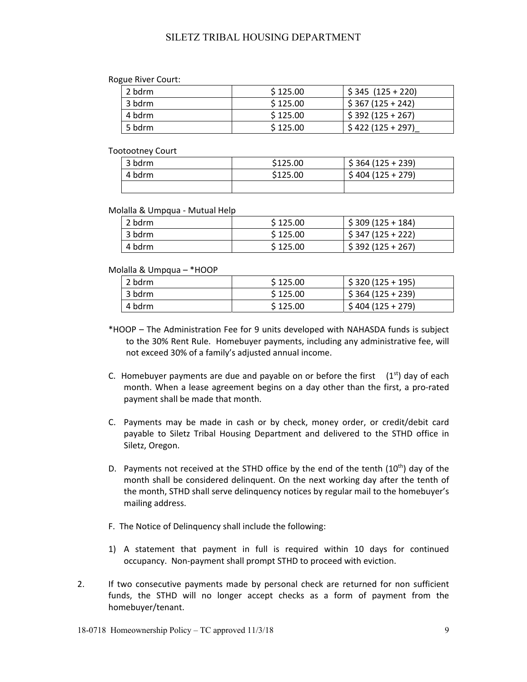#### Rogue River Court:

| 2 bdrm | \$125.00 | $$345 (125 + 220)$ |
|--------|----------|--------------------|
| 3 bdrm | \$125.00 | $$367 (125 + 242)$ |
| 4 bdrm | \$125.00 | $$392 (125 + 267)$ |
| 5 bdrm | \$125.00 | $$422(125+297)$    |

#### Tootootney Court

| 3 bdrm | \$125.00 | $$364 (125 + 239)$ |
|--------|----------|--------------------|
| 4 bdrm | \$125.00 | $$404 (125 + 279)$ |
|        |          |                    |

#### Molalla & Umpqua ‐ Mutual Help

| 2 bdrm | \$125.00 | $$309 (125 + 184)$ |  |
|--------|----------|--------------------|--|
| 3 bdrm | \$125.00 | $$347 (125 + 222)$ |  |
| 4 bdrm | \$125.00 | $$392 (125 + 267)$ |  |

#### Molalla & Umpqua – \*HOOP

| 2 bdrm | \$125.00 | $$320(125+195)$    |  |
|--------|----------|--------------------|--|
| 3 bdrm | \$125.00 | $$364 (125 + 239)$ |  |
| 4 bdrm | \$125.00 | $$404(125+279)$    |  |

- \*HOOP The Administration Fee for 9 units developed with NAHASDA funds is subject to the 30% Rent Rule. Homebuyer payments, including any administrative fee, will not exceed 30% of a family's adjusted annual income.
- C. Homebuyer payments are due and payable on or before the first  $(1<sup>st</sup>)$  day of each month. When a lease agreement begins on a day other than the first, a pro-rated payment shall be made that month.
- C. Payments may be made in cash or by check, money order, or credit/debit card payable to Siletz Tribal Housing Department and delivered to the STHD office in Siletz, Oregon.
- D. Payments not received at the STHD office by the end of the tenth  $(10<sup>th</sup>)$  day of the month shall be considered delinquent. On the next working day after the tenth of the month, STHD shall serve delinquency notices by regular mail to the homebuyer's mailing address.
- F. The Notice of Delinquency shall include the following:
- 1) A statement that payment in full is required within 10 days for continued occupancy. Non‐payment shall prompt STHD to proceed with eviction.
- 2. If two consecutive payments made by personal check are returned for non sufficient funds, the STHD will no longer accept checks as a form of payment from the homebuyer/tenant.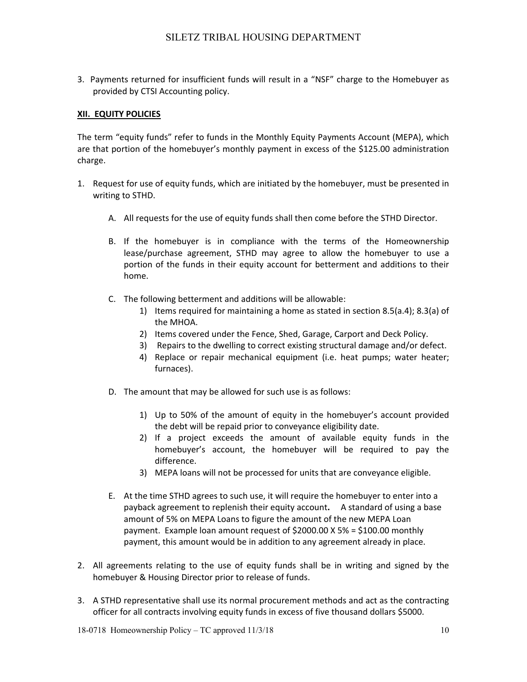3. Payments returned for insufficient funds will result in a "NSF" charge to the Homebuyer as provided by CTSI Accounting policy.

### **XII. EQUITY POLICIES**

The term "equity funds" refer to funds in the Monthly Equity Payments Account (MEPA), which are that portion of the homebuyer's monthly payment in excess of the \$125.00 administration charge.

- 1. Request for use of equity funds, which are initiated by the homebuyer, must be presented in writing to STHD.
	- A. All requests for the use of equity funds shall then come before the STHD Director.
	- B. If the homebuyer is in compliance with the terms of the Homeownership lease/purchase agreement, STHD may agree to allow the homebuyer to use a portion of the funds in their equity account for betterment and additions to their home.
	- C. The following betterment and additions will be allowable:
		- 1) Items required for maintaining a home as stated in section 8.5(a.4); 8.3(a) of the MHOA.
		- 2) Items covered under the Fence, Shed, Garage, Carport and Deck Policy.
		- 3) Repairs to the dwelling to correct existing structural damage and/or defect.
		- 4) Replace or repair mechanical equipment (i.e. heat pumps; water heater; furnaces).
	- D. The amount that may be allowed for such use is as follows:
		- 1) Up to 50% of the amount of equity in the homebuyer's account provided the debt will be repaid prior to conveyance eligibility date.
		- 2) If a project exceeds the amount of available equity funds in the homebuyer's account, the homebuyer will be required to pay the difference.
		- 3) MEPA loans will not be processed for units that are conveyance eligible.
	- E. At the time STHD agrees to such use, it will require the homebuyer to enter into a payback agreement to replenish their equity account**.**  A standard of using a base amount of 5% on MEPA Loans to figure the amount of the new MEPA Loan payment. Example loan amount request of \$2000.00 X 5% = \$100.00 monthly payment, this amount would be in addition to any agreement already in place.
- 2. All agreements relating to the use of equity funds shall be in writing and signed by the homebuyer & Housing Director prior to release of funds.
- 3. A STHD representative shall use its normal procurement methods and act as the contracting officer for all contracts involving equity funds in excess of five thousand dollars \$5000.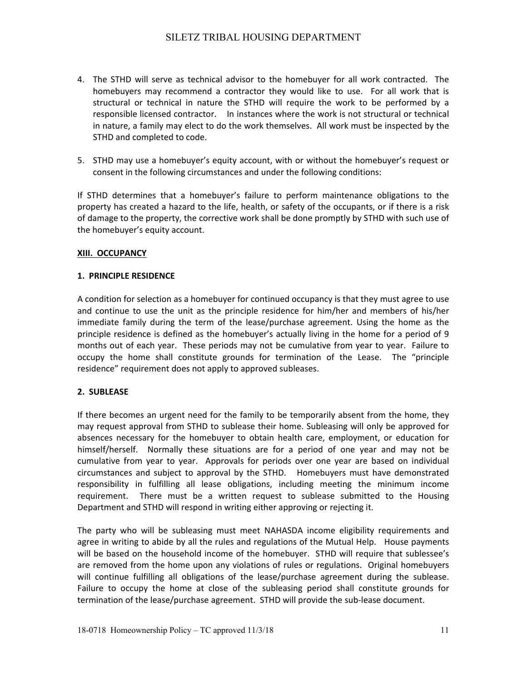- 4. The STHD will serve as technical advisor to the homebuyer for all work contracted. The homebuyers may recommend a contractor they would like to use. For all work that is structural or technical in nature the STHD will require the work to be performed by a responsible licensed contractor. In instances where the work is not structural or technical in nature, a family may elect to do the work themselves. All work must be inspected by the STHD and completed to code.
- 5. STHD may use a homebuyer's equity account, with or without the homebuyer's request or consent in the following circumstances and under the following conditions:

If STHD determines that a homebuyer's failure to perform maintenance obligations to the property has created a hazard to the life, health, or safety of the occupants, or if there is a risk of damage to the property, the corrective work shall be done promptly by STHD with such use of the homebuyer's equity account.

## **XIII. OCCUPANCY**

### **1. PRINCIPLE RESIDENCE**

A condition for selection as a homebuyer for continued occupancy is that they must agree to use and continue to use the unit as the principle residence for him/her and members of his/her immediate family during the term of the lease/purchase agreement. Using the home as the principle residence is defined as the homebuyer's actually living in the home for a period of 9 months out of each year. These periods may not be cumulative from year to year. Failure to occupy the home shall constitute grounds for termination of the Lease. The "principle residence" requirement does not apply to approved subleases.

## **2. SUBLEASE**

If there becomes an urgent need for the family to be temporarily absent from the home, they may request approval from STHD to sublease their home. Subleasing will only be approved for absences necessary for the homebuyer to obtain health care, employment, or education for himself/herself. Normally these situations are for a period of one year and may not be cumulative from year to year. Approvals for periods over one year are based on individual circumstances and subject to approval by the STHD. Homebuyers must have demonstrated responsibility in fulfilling all lease obligations, including meeting the minimum income requirement. There must be a written request to sublease submitted to the Housing Department and STHD will respond in writing either approving or rejecting it.

The party who will be subleasing must meet NAHASDA income eligibility requirements and agree in writing to abide by all the rules and regulations of the Mutual Help. House payments will be based on the household income of the homebuyer. STHD will require that sublessee's are removed from the home upon any violations of rules or regulations. Original homebuyers will continue fulfilling all obligations of the lease/purchase agreement during the sublease. Failure to occupy the home at close of the subleasing period shall constitute grounds for termination of the lease/purchase agreement. STHD will provide the sub‐lease document.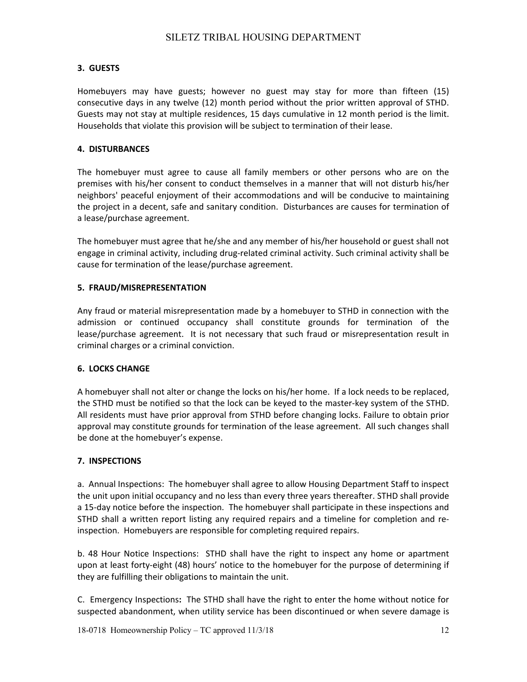## **3. GUESTS**

Homebuyers may have guests; however no guest may stay for more than fifteen (15) consecutive days in any twelve (12) month period without the prior written approval of STHD. Guests may not stay at multiple residences, 15 days cumulative in 12 month period is the limit. Households that violate this provision will be subject to termination of their lease.

### **4. DISTURBANCES**

The homebuyer must agree to cause all family members or other persons who are on the premises with his/her consent to conduct themselves in a manner that will not disturb his/her neighbors' peaceful enjoyment of their accommodations and will be conducive to maintaining the project in a decent, safe and sanitary condition. Disturbances are causes for termination of a lease/purchase agreement.

The homebuyer must agree that he/she and any member of his/her household or guest shall not engage in criminal activity, including drug-related criminal activity. Such criminal activity shall be cause for termination of the lease/purchase agreement.

### **5. FRAUD/MISREPRESENTATION**

Any fraud or material misrepresentation made by a homebuyer to STHD in connection with the admission or continued occupancy shall constitute grounds for termination of the lease/purchase agreement. It is not necessary that such fraud or misrepresentation result in criminal charges or a criminal conviction.

#### **6. LOCKS CHANGE**

A homebuyer shall not alter or change the locks on his/her home. If a lock needs to be replaced, the STHD must be notified so that the lock can be keyed to the master‐key system of the STHD. All residents must have prior approval from STHD before changing locks. Failure to obtain prior approval may constitute grounds for termination of the lease agreement. All such changes shall be done at the homebuyer's expense.

#### **7. INSPECTIONS**

a. Annual Inspections: The homebuyer shall agree to allow Housing Department Staff to inspect the unit upon initial occupancy and no less than every three years thereafter. STHD shall provide a 15-day notice before the inspection. The homebuyer shall participate in these inspections and STHD shall a written report listing any required repairs and a timeline for completion and reinspection. Homebuyers are responsible for completing required repairs.

b. 48 Hour Notice Inspections: STHD shall have the right to inspect any home or apartment upon at least forty‐eight (48) hours' notice to the homebuyer for the purpose of determining if they are fulfilling their obligations to maintain the unit.

C. Emergency Inspections**:** The STHD shall have the right to enter the home without notice for suspected abandonment, when utility service has been discontinued or when severe damage is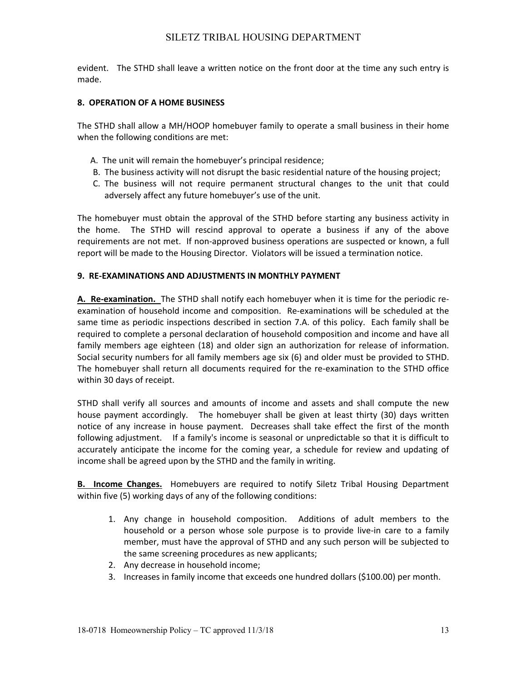evident. The STHD shall leave a written notice on the front door at the time any such entry is made.

#### **8. OPERATION OF A HOME BUSINESS**

The STHD shall allow a MH/HOOP homebuyer family to operate a small business in their home when the following conditions are met:

- A. The unit will remain the homebuyer's principal residence;
- B. The business activity will not disrupt the basic residential nature of the housing project;
- C. The business will not require permanent structural changes to the unit that could adversely affect any future homebuyer's use of the unit.

The homebuyer must obtain the approval of the STHD before starting any business activity in the home. The STHD will rescind approval to operate a business if any of the above requirements are not met. If non-approved business operations are suspected or known, a full report will be made to the Housing Director. Violators will be issued a termination notice.

### **9. RE‐EXAMINATIONS AND ADJUSTMENTS IN MONTHLY PAYMENT**

**A. Re‐examination.** The STHD shall notify each homebuyer when it is time for the periodic re‐ examination of household income and composition. Re‐examinations will be scheduled at the same time as periodic inspections described in section 7.A. of this policy. Each family shall be required to complete a personal declaration of household composition and income and have all family members age eighteen (18) and older sign an authorization for release of information. Social security numbers for all family members age six (6) and older must be provided to STHD. The homebuyer shall return all documents required for the re-examination to the STHD office within 30 days of receipt.

STHD shall verify all sources and amounts of income and assets and shall compute the new house payment accordingly. The homebuyer shall be given at least thirty (30) days written notice of any increase in house payment. Decreases shall take effect the first of the month following adjustment. If a family's income is seasonal or unpredictable so that it is difficult to accurately anticipate the income for the coming year, a schedule for review and updating of income shall be agreed upon by the STHD and the family in writing.

**B.** Income Changes. Homebuyers are required to notify Siletz Tribal Housing Department within five (5) working days of any of the following conditions:

- 1. Any change in household composition. Additions of adult members to the household or a person whose sole purpose is to provide live-in care to a family member, must have the approval of STHD and any such person will be subjected to the same screening procedures as new applicants;
- 2. Any decrease in household income;
- 3. Increases in family income that exceeds one hundred dollars (\$100.00) per month.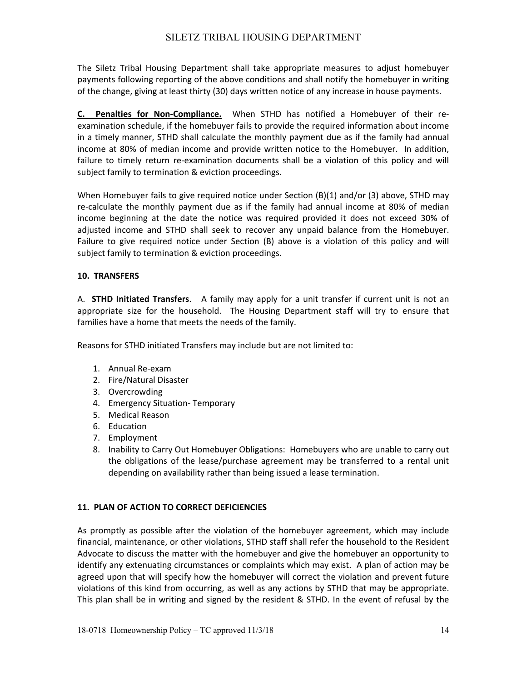The Siletz Tribal Housing Department shall take appropriate measures to adjust homebuyer payments following reporting of the above conditions and shall notify the homebuyer in writing of the change, giving at least thirty (30) days written notice of any increase in house payments.

**C. Penalties for Non‐Compliance.** When STHD has notified a Homebuyer of their re‐ examination schedule, if the homebuyer fails to provide the required information about income in a timely manner, STHD shall calculate the monthly payment due as if the family had annual income at 80% of median income and provide written notice to the Homebuyer. In addition, failure to timely return re-examination documents shall be a violation of this policy and will subject family to termination & eviction proceedings.

When Homebuyer fails to give required notice under Section (B)(1) and/or (3) above, STHD may re-calculate the monthly payment due as if the family had annual income at 80% of median income beginning at the date the notice was required provided it does not exceed 30% of adjusted income and STHD shall seek to recover any unpaid balance from the Homebuyer. Failure to give required notice under Section (B) above is a violation of this policy and will subject family to termination & eviction proceedings.

## **10. TRANSFERS**

A. **STHD Initiated Transfers**. A family may apply for a unit transfer if current unit is not an appropriate size for the household. The Housing Department staff will try to ensure that families have a home that meets the needs of the family.

Reasons for STHD initiated Transfers may include but are not limited to:

- 1. Annual Re‐exam
- 2. Fire/Natural Disaster
- 3. Overcrowding
- 4. Emergency Situation‐ Temporary
- 5. Medical Reason
- 6. Education
- 7. Employment
- 8. Inability to Carry Out Homebuyer Obligations: Homebuyers who are unable to carry out the obligations of the lease/purchase agreement may be transferred to a rental unit depending on availability rather than being issued a lease termination.

## **11. PLAN OF ACTION TO CORRECT DEFICIENCIES**

As promptly as possible after the violation of the homebuyer agreement, which may include financial, maintenance, or other violations, STHD staff shall refer the household to the Resident Advocate to discuss the matter with the homebuyer and give the homebuyer an opportunity to identify any extenuating circumstances or complaints which may exist. A plan of action may be agreed upon that will specify how the homebuyer will correct the violation and prevent future violations of this kind from occurring, as well as any actions by STHD that may be appropriate. This plan shall be in writing and signed by the resident & STHD. In the event of refusal by the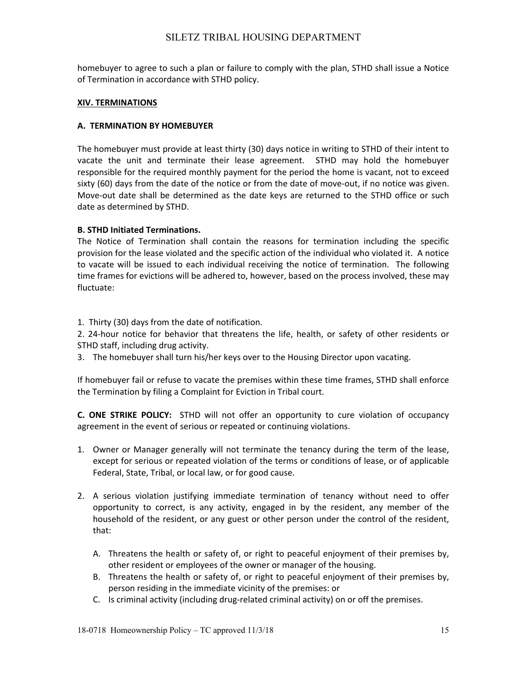homebuyer to agree to such a plan or failure to comply with the plan, STHD shall issue a Notice of Termination in accordance with STHD policy.

#### **XIV. TERMINATIONS**

### **A. TERMINATION BY HOMEBUYER**

The homebuyer must provide at least thirty (30) days notice in writing to STHD of their intent to vacate the unit and terminate their lease agreement. STHD may hold the homebuyer responsible for the required monthly payment for the period the home is vacant, not to exceed sixty (60) days from the date of the notice or from the date of move-out, if no notice was given. Move-out date shall be determined as the date keys are returned to the STHD office or such date as determined by STHD.

## **B. STHD Initiated Terminations.**

The Notice of Termination shall contain the reasons for termination including the specific provision for the lease violated and the specific action of the individual who violated it. A notice to vacate will be issued to each individual receiving the notice of termination. The following time frames for evictions will be adhered to, however, based on the process involved, these may fluctuate:

1. Thirty (30) days from the date of notification.

2. 24‐hour notice for behavior that threatens the life, health, or safety of other residents or STHD staff, including drug activity.

3. The homebuyer shall turn his/her keys over to the Housing Director upon vacating.

If homebuyer fail or refuse to vacate the premises within these time frames, STHD shall enforce the Termination by filing a Complaint for Eviction in Tribal court.

**C. ONE STRIKE POLICY:** STHD will not offer an opportunity to cure violation of occupancy agreement in the event of serious or repeated or continuing violations.

- 1. Owner or Manager generally will not terminate the tenancy during the term of the lease, except for serious or repeated violation of the terms or conditions of lease, or of applicable Federal, State, Tribal, or local law, or for good cause.
- 2. A serious violation justifying immediate termination of tenancy without need to offer opportunity to correct, is any activity, engaged in by the resident, any member of the household of the resident, or any guest or other person under the control of the resident, that:
	- A. Threatens the health or safety of, or right to peaceful enjoyment of their premises by, other resident or employees of the owner or manager of the housing.
	- B. Threatens the health or safety of, or right to peaceful enjoyment of their premises by, person residing in the immediate vicinity of the premises: or
	- C. Is criminal activity (including drug‐related criminal activity) on or off the premises.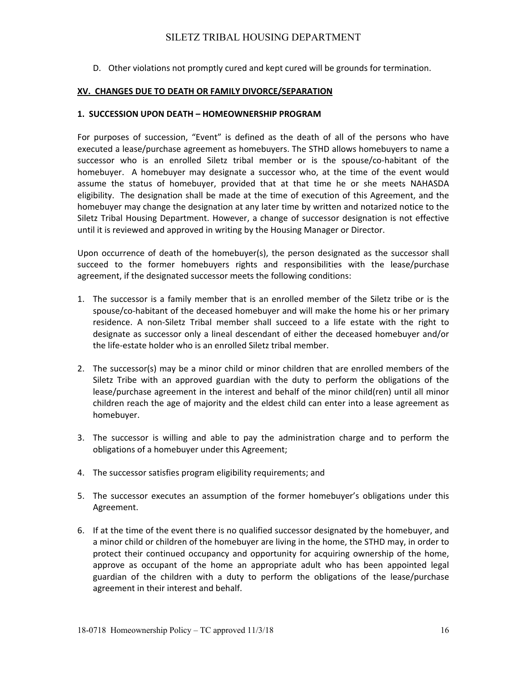D. Other violations not promptly cured and kept cured will be grounds for termination.

## **XV. CHANGES DUE TO DEATH OR FAMILY DIVORCE/SEPARATION**

### **1. SUCCESSION UPON DEATH – HOMEOWNERSHIP PROGRAM**

For purposes of succession, "Event" is defined as the death of all of the persons who have executed a lease/purchase agreement as homebuyers. The STHD allows homebuyers to name a successor who is an enrolled Siletz tribal member or is the spouse/co-habitant of the homebuyer. A homebuyer may designate a successor who, at the time of the event would assume the status of homebuyer, provided that at that time he or she meets NAHASDA eligibility. The designation shall be made at the time of execution of this Agreement, and the homebuyer may change the designation at any later time by written and notarized notice to the Siletz Tribal Housing Department. However, a change of successor designation is not effective until it is reviewed and approved in writing by the Housing Manager or Director.

Upon occurrence of death of the homebuyer(s), the person designated as the successor shall succeed to the former homebuyers rights and responsibilities with the lease/purchase agreement, if the designated successor meets the following conditions:

- 1. The successor is a family member that is an enrolled member of the Siletz tribe or is the spouse/co-habitant of the deceased homebuyer and will make the home his or her primary residence. A non‐Siletz Tribal member shall succeed to a life estate with the right to designate as successor only a lineal descendant of either the deceased homebuyer and/or the life‐estate holder who is an enrolled Siletz tribal member.
- 2. The successor(s) may be a minor child or minor children that are enrolled members of the Siletz Tribe with an approved guardian with the duty to perform the obligations of the lease/purchase agreement in the interest and behalf of the minor child(ren) until all minor children reach the age of majority and the eldest child can enter into a lease agreement as homebuyer.
- 3. The successor is willing and able to pay the administration charge and to perform the obligations of a homebuyer under this Agreement;
- 4. The successor satisfies program eligibility requirements; and
- 5. The successor executes an assumption of the former homebuyer's obligations under this Agreement.
- 6. If at the time of the event there is no qualified successor designated by the homebuyer, and a minor child or children of the homebuyer are living in the home, the STHD may, in order to protect their continued occupancy and opportunity for acquiring ownership of the home, approve as occupant of the home an appropriate adult who has been appointed legal guardian of the children with a duty to perform the obligations of the lease/purchase agreement in their interest and behalf.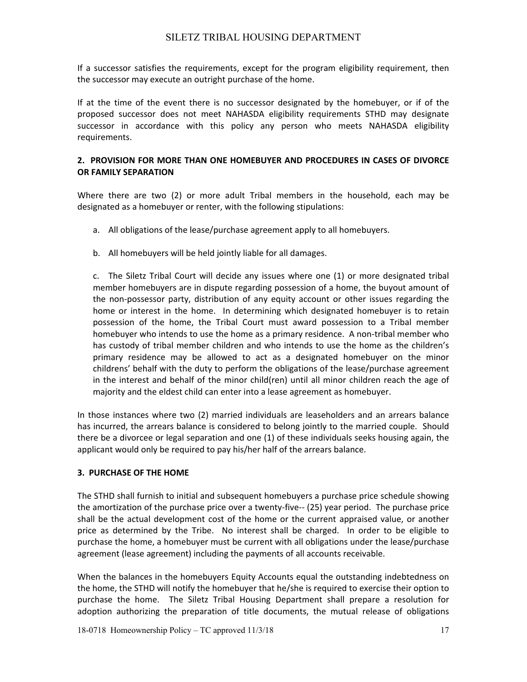If a successor satisfies the requirements, except for the program eligibility requirement, then the successor may execute an outright purchase of the home.

If at the time of the event there is no successor designated by the homebuyer, or if of the proposed successor does not meet NAHASDA eligibility requirements STHD may designate successor in accordance with this policy any person who meets NAHASDA eligibility requirements.

## **2. PROVISION FOR MORE THAN ONE HOMEBUYER AND PROCEDURES IN CASES OF DIVORCE OR FAMILY SEPARATION**

Where there are two (2) or more adult Tribal members in the household, each may be designated as a homebuyer or renter, with the following stipulations:

- a. All obligations of the lease/purchase agreement apply to all homebuyers.
- b. All homebuyers will be held jointly liable for all damages.

 c. The Siletz Tribal Court will decide any issues where one (1) or more designated tribal member homebuyers are in dispute regarding possession of a home, the buyout amount of the non‐possessor party, distribution of any equity account or other issues regarding the home or interest in the home. In determining which designated homebuyer is to retain possession of the home, the Tribal Court must award possession to a Tribal member homebuyer who intends to use the home as a primary residence. A non‐tribal member who has custody of tribal member children and who intends to use the home as the children's primary residence may be allowed to act as a designated homebuyer on the minor childrens' behalf with the duty to perform the obligations of the lease/purchase agreement in the interest and behalf of the minor child(ren) until all minor children reach the age of majority and the eldest child can enter into a lease agreement as homebuyer.

In those instances where two (2) married individuals are leaseholders and an arrears balance has incurred, the arrears balance is considered to belong jointly to the married couple. Should there be a divorcee or legal separation and one (1) of these individuals seeks housing again, the applicant would only be required to pay his/her half of the arrears balance.

## **3. PURCHASE OF THE HOME**

The STHD shall furnish to initial and subsequent homebuyers a purchase price schedule showing the amortization of the purchase price over a twenty-five-- (25) year period. The purchase price shall be the actual development cost of the home or the current appraised value, or another price as determined by the Tribe. No interest shall be charged. In order to be eligible to purchase the home, a homebuyer must be current with all obligations under the lease/purchase agreement (lease agreement) including the payments of all accounts receivable.

When the balances in the homebuyers Equity Accounts equal the outstanding indebtedness on the home, the STHD will notify the homebuyer that he/she is required to exercise their option to purchase the home. The Siletz Tribal Housing Department shall prepare a resolution for adoption authorizing the preparation of title documents, the mutual release of obligations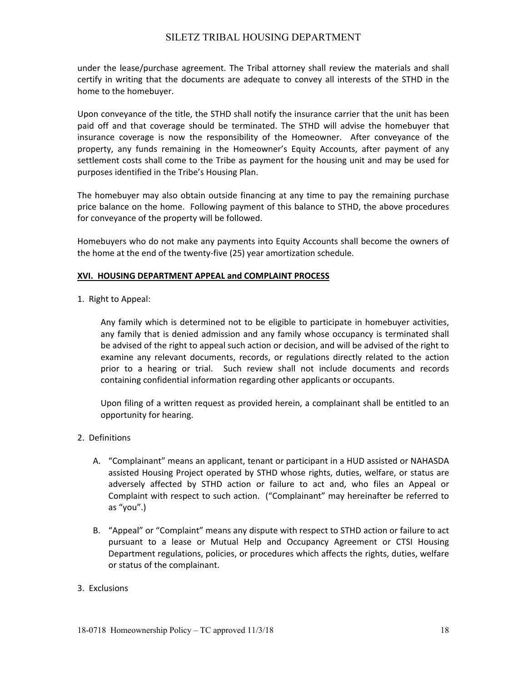under the lease/purchase agreement. The Tribal attorney shall review the materials and shall certify in writing that the documents are adequate to convey all interests of the STHD in the home to the homebuyer.

Upon conveyance of the title, the STHD shall notify the insurance carrier that the unit has been paid off and that coverage should be terminated. The STHD will advise the homebuyer that insurance coverage is now the responsibility of the Homeowner. After conveyance of the property, any funds remaining in the Homeowner's Equity Accounts, after payment of any settlement costs shall come to the Tribe as payment for the housing unit and may be used for purposes identified in the Tribe's Housing Plan.

The homebuyer may also obtain outside financing at any time to pay the remaining purchase price balance on the home. Following payment of this balance to STHD, the above procedures for conveyance of the property will be followed.

Homebuyers who do not make any payments into Equity Accounts shall become the owners of the home at the end of the twenty‐five (25) year amortization schedule.

## **XVI. HOUSING DEPARTMENT APPEAL and COMPLAINT PROCESS**

1. Right to Appeal:

Any family which is determined not to be eligible to participate in homebuyer activities, any family that is denied admission and any family whose occupancy is terminated shall be advised of the right to appeal such action or decision, and will be advised of the right to examine any relevant documents, records, or regulations directly related to the action prior to a hearing or trial. Such review shall not include documents and records containing confidential information regarding other applicants or occupants.

Upon filing of a written request as provided herein, a complainant shall be entitled to an opportunity for hearing.

- 2. Definitions
	- A. "Complainant" means an applicant, tenant or participant in a HUD assisted or NAHASDA assisted Housing Project operated by STHD whose rights, duties, welfare, or status are adversely affected by STHD action or failure to act and, who files an Appeal or Complaint with respect to such action. ("Complainant" may hereinafter be referred to as "you".)
	- B. "Appeal" or "Complaint" means any dispute with respect to STHD action or failure to act pursuant to a lease or Mutual Help and Occupancy Agreement or CTSI Housing Department regulations, policies, or procedures which affects the rights, duties, welfare or status of the complainant.

## 3. Exclusions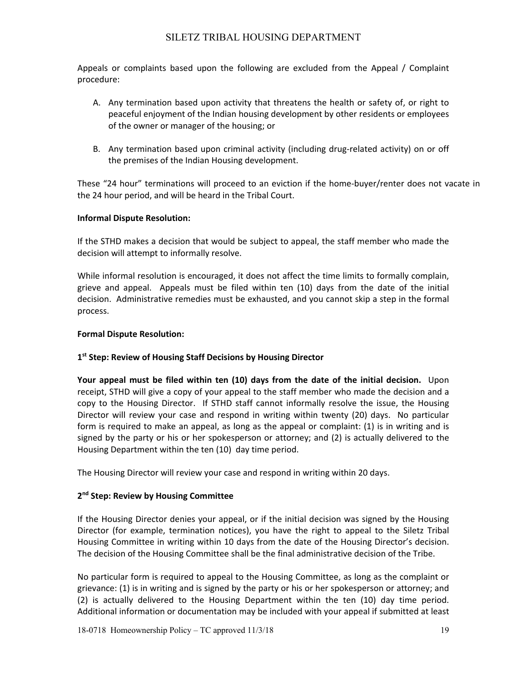Appeals or complaints based upon the following are excluded from the Appeal / Complaint procedure:

- A. Any termination based upon activity that threatens the health or safety of, or right to peaceful enjoyment of the Indian housing development by other residents or employees of the owner or manager of the housing; or
- B. Any termination based upon criminal activity (including drug-related activity) on or off the premises of the Indian Housing development.

These "24 hour" terminations will proceed to an eviction if the home‐buyer/renter does not vacate in the 24 hour period, and will be heard in the Tribal Court.

## **Informal Dispute Resolution:**

If the STHD makes a decision that would be subject to appeal, the staff member who made the decision will attempt to informally resolve.

While informal resolution is encouraged, it does not affect the time limits to formally complain, grieve and appeal. Appeals must be filed within ten (10) days from the date of the initial decision. Administrative remedies must be exhausted, and you cannot skip a step in the formal process.

## **Formal Dispute Resolution:**

## **1st Step: Review of Housing Staff Decisions by Housing Director**

**Your appeal must be filed within ten (10) days from the date of the initial decision.** Upon receipt, STHD will give a copy of your appeal to the staff member who made the decision and a copy to the Housing Director. If STHD staff cannot informally resolve the issue, the Housing Director will review your case and respond in writing within twenty (20) days. No particular form is required to make an appeal, as long as the appeal or complaint: (1) is in writing and is signed by the party or his or her spokesperson or attorney; and (2) is actually delivered to the Housing Department within the ten (10) day time period.

The Housing Director will review your case and respond in writing within 20 days.

## **2nd Step: Review by Housing Committee**

If the Housing Director denies your appeal, or if the initial decision was signed by the Housing Director (for example, termination notices), you have the right to appeal to the Siletz Tribal Housing Committee in writing within 10 days from the date of the Housing Director's decision. The decision of the Housing Committee shall be the final administrative decision of the Tribe.

No particular form is required to appeal to the Housing Committee, as long as the complaint or grievance: (1) is in writing and is signed by the party or his or her spokesperson or attorney; and (2) is actually delivered to the Housing Department within the ten (10) day time period. Additional information or documentation may be included with your appeal if submitted at least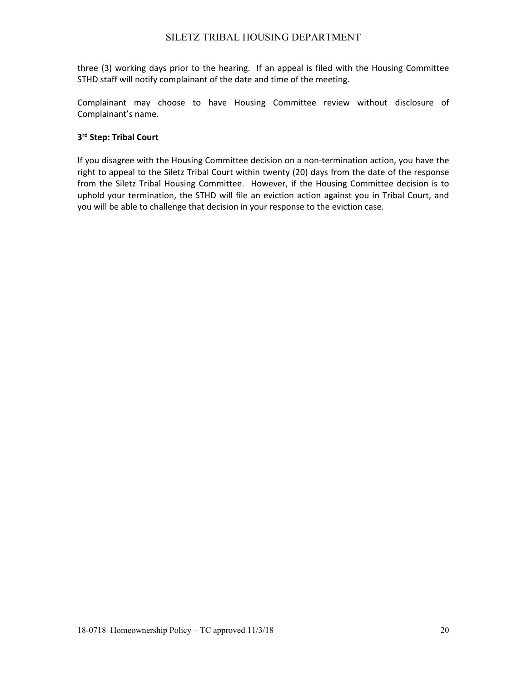three (3) working days prior to the hearing. If an appeal is filed with the Housing Committee STHD staff will notify complainant of the date and time of the meeting.

Complainant may choose to have Housing Committee review without disclosure of Complainant's name.

## **3rd Step: Tribal Court**

If you disagree with the Housing Committee decision on a non-termination action, you have the right to appeal to the Siletz Tribal Court within twenty (20) days from the date of the response from the Siletz Tribal Housing Committee. However, if the Housing Committee decision is to uphold your termination, the STHD will file an eviction action against you in Tribal Court, and you will be able to challenge that decision in your response to the eviction case.